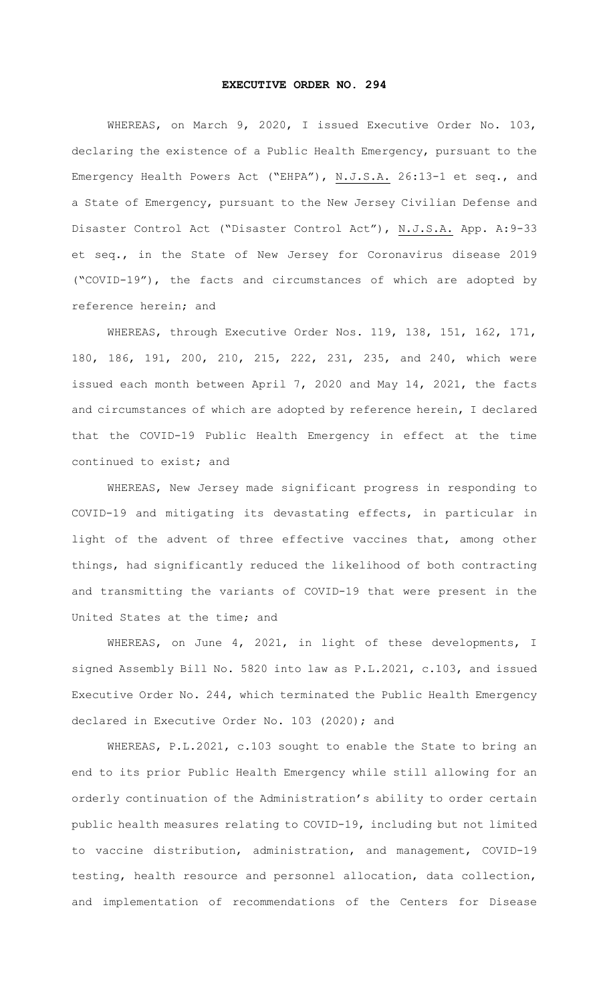## **EXECUTIVE ORDER NO. 294**

WHEREAS, on March 9, 2020, I issued Executive Order No. 103, declaring the existence of a Public Health Emergency, pursuant to the Emergency Health Powers Act ("EHPA"), N.J.S.A. 26:13-1 et seq., and a State of Emergency, pursuant to the New Jersey Civilian Defense and Disaster Control Act ("Disaster Control Act"), N.J.S.A. App. A:9-33 et seq., in the State of New Jersey for Coronavirus disease 2019 ("COVID-19"), the facts and circumstances of which are adopted by reference herein; and

WHEREAS, through Executive Order Nos. 119, 138, 151, 162, 171, 180, 186, 191, 200, 210, 215, 222, 231, 235, and 240, which were issued each month between April 7, 2020 and May 14, 2021, the facts and circumstances of which are adopted by reference herein, I declared that the COVID-19 Public Health Emergency in effect at the time continued to exist; and

WHEREAS, New Jersey made significant progress in responding to COVID-19 and mitigating its devastating effects, in particular in light of the advent of three effective vaccines that, among other things, had significantly reduced the likelihood of both contracting and transmitting the variants of COVID-19 that were present in the United States at the time; and

WHEREAS, on June 4, 2021, in light of these developments, I signed Assembly Bill No. 5820 into law as P.L.2021, c.103, and issued Executive Order No. 244, which terminated the Public Health Emergency declared in Executive Order No. 103 (2020); and

WHEREAS, P.L.2021, c.103 sought to enable the State to bring an end to its prior Public Health Emergency while still allowing for an orderly continuation of the Administration's ability to order certain public health measures relating to COVID-19, including but not limited to vaccine distribution, administration, and management, COVID-19 testing, health resource and personnel allocation, data collection, and implementation of recommendations of the Centers for Disease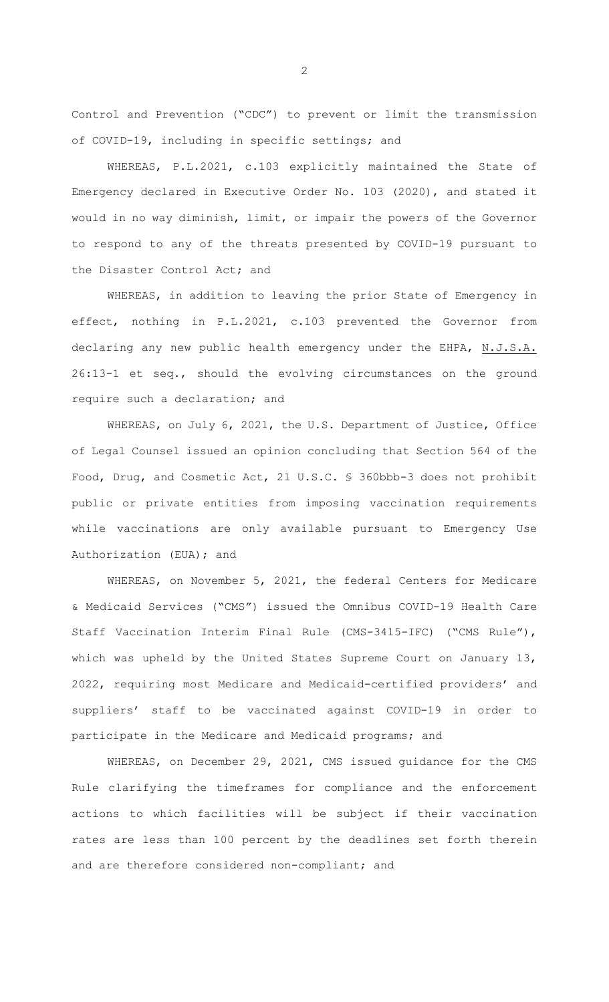Control and Prevention ("CDC") to prevent or limit the transmission of COVID-19, including in specific settings; and

WHEREAS, P.L.2021, c.103 explicitly maintained the State of Emergency declared in Executive Order No. 103 (2020), and stated it would in no way diminish, limit, or impair the powers of the Governor to respond to any of the threats presented by COVID-19 pursuant to the Disaster Control Act; and

WHEREAS, in addition to leaving the prior State of Emergency in effect, nothing in P.L.2021, c.103 prevented the Governor from declaring any new public health emergency under the EHPA, N.J.S.A. 26:13-1 et seq., should the evolving circumstances on the ground require such a declaration; and

WHEREAS, on July 6, 2021, the U.S. Department of Justice, Office of Legal Counsel issued an opinion concluding that Section 564 of the Food, Drug, and Cosmetic Act, 21 U.S.C. § 360bbb-3 does not prohibit public or private entities from imposing vaccination requirements while vaccinations are only available pursuant to Emergency Use Authorization (EUA); and

WHEREAS, on November 5, 2021, the federal Centers for Medicare & Medicaid Services ("CMS") issued the Omnibus COVID-19 Health Care Staff Vaccination Interim Final Rule (CMS-3415-IFC) ("CMS Rule"), which was upheld by the United States Supreme Court on January 13, 2022, requiring most Medicare and Medicaid-certified providers' and suppliers' staff to be vaccinated against COVID-19 in order to participate in the Medicare and Medicaid programs; and

WHEREAS, on December 29, 2021, CMS issued guidance for the CMS Rule clarifying the timeframes for compliance and the enforcement actions to which facilities will be subject if their vaccination rates are less than 100 percent by the deadlines set forth therein and are therefore considered non-compliant; and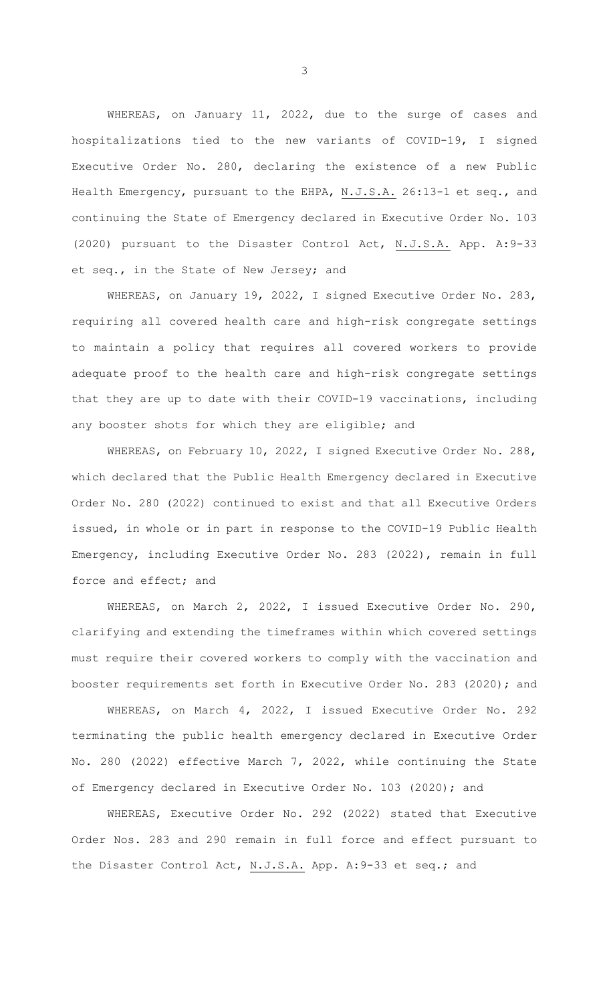WHEREAS, on January 11, 2022, due to the surge of cases and hospitalizations tied to the new variants of COVID-19, I signed Executive Order No. 280, declaring the existence of a new Public Health Emergency, pursuant to the EHPA, N.J.S.A. 26:13-1 et seq., and continuing the State of Emergency declared in Executive Order No. 103 (2020) pursuant to the Disaster Control Act, N.J.S.A. App. A:9-33 et seq., in the State of New Jersey; and

WHEREAS, on January 19, 2022, I signed Executive Order No. 283, requiring all covered health care and high-risk congregate settings to maintain a policy that requires all covered workers to provide adequate proof to the health care and high-risk congregate settings that they are up to date with their COVID-19 vaccinations, including any booster shots for which they are eligible; and

WHEREAS, on February 10, 2022, I signed Executive Order No. 288, which declared that the Public Health Emergency declared in Executive Order No. 280 (2022) continued to exist and that all Executive Orders issued, in whole or in part in response to the COVID-19 Public Health Emergency, including Executive Order No. 283 (2022), remain in full force and effect; and

WHEREAS, on March 2, 2022, I issued Executive Order No. 290, clarifying and extending the timeframes within which covered settings must require their covered workers to comply with the vaccination and booster requirements set forth in Executive Order No. 283 (2020); and

WHEREAS, on March 4, 2022, I issued Executive Order No. 292 terminating the public health emergency declared in Executive Order No. 280 (2022) effective March 7, 2022, while continuing the State of Emergency declared in Executive Order No. 103 (2020); and

WHEREAS, Executive Order No. 292 (2022) stated that Executive Order Nos. 283 and 290 remain in full force and effect pursuant to the Disaster Control Act, N.J.S.A. App. A: 9-33 et seq.; and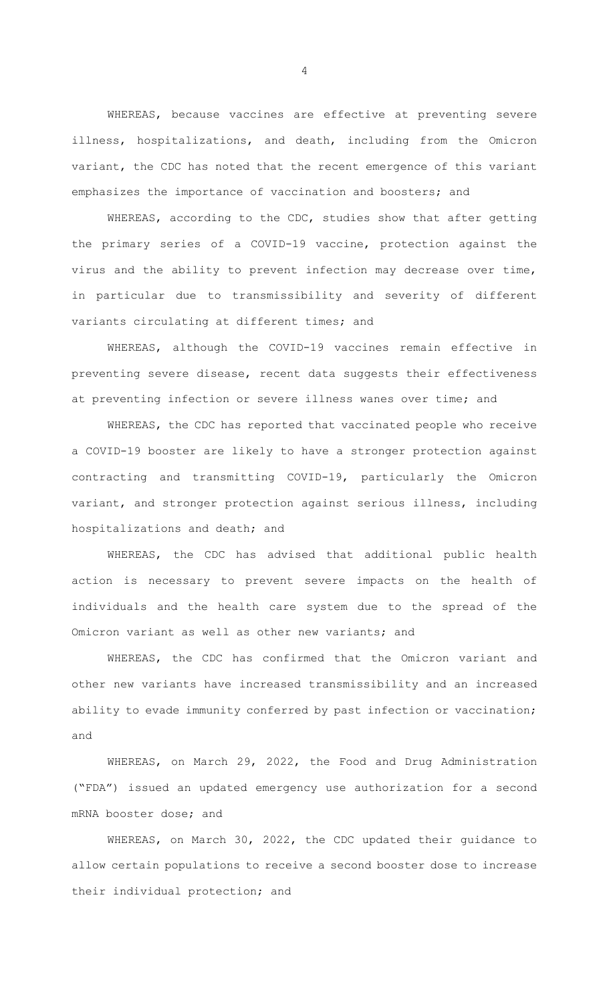WHEREAS, because vaccines are effective at preventing severe illness, hospitalizations, and death, including from the Omicron variant, the CDC has noted that the recent emergence of this variant emphasizes the importance of vaccination and boosters; and

WHEREAS, according to the CDC, studies show that after getting the primary series of a COVID-19 vaccine, protection against the virus and the ability to prevent infection may decrease over time, in particular due to transmissibility and severity of different variants circulating at different times; and

WHEREAS, although the COVID-19 vaccines remain effective in preventing severe disease, recent data suggests their effectiveness at preventing infection or severe illness wanes over time; and

WHEREAS, the CDC has reported that vaccinated people who receive a COVID-19 booster are likely to have a stronger protection against contracting and transmitting COVID-19, particularly the Omicron variant, and stronger protection against serious illness, including hospitalizations and death; and

WHEREAS, the CDC has advised that additional public health action is necessary to prevent severe impacts on the health of individuals and the health care system due to the spread of the Omicron variant as well as other new variants; and

WHEREAS, the CDC has confirmed that the Omicron variant and other new variants have increased transmissibility and an increased ability to evade immunity conferred by past infection or vaccination; and

WHEREAS, on March 29, 2022, the Food and Drug Administration ("FDA") issued an updated emergency use authorization for a second mRNA booster dose; and

WHEREAS, on March 30, 2022, the CDC updated their guidance to allow certain populations to receive a second booster dose to increase their individual protection; and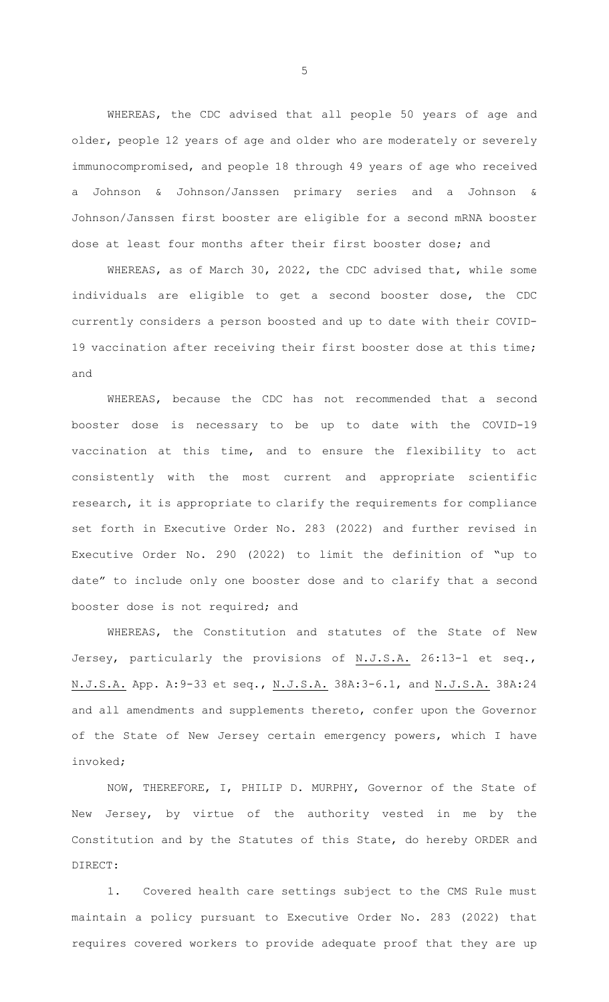WHEREAS, the CDC advised that all people 50 years of age and older, people 12 years of age and older who are moderately or severely immunocompromised, and people 18 through 49 years of age who received a Johnson & Johnson/Janssen primary series and a Johnson & Johnson/Janssen first booster are eligible for a second mRNA booster dose at least four months after their first booster dose; and

WHEREAS, as of March 30, 2022, the CDC advised that, while some individuals are eligible to get a second booster dose, the CDC currently considers a person boosted and up to date with their COVID-19 vaccination after receiving their first booster dose at this time; and

WHEREAS, because the CDC has not recommended that a second booster dose is necessary to be up to date with the COVID-19 vaccination at this time, and to ensure the flexibility to act consistently with the most current and appropriate scientific research, it is appropriate to clarify the requirements for compliance set forth in Executive Order No. 283 (2022) and further revised in Executive Order No. 290 (2022) to limit the definition of "up to date" to include only one booster dose and to clarify that a second booster dose is not required; and

WHEREAS, the Constitution and statutes of the State of New Jersey, particularly the provisions of N.J.S.A. 26:13-1 et seq., N.J.S.A. App. A:9-33 et seq., N.J.S.A. 38A:3-6.1, and N.J.S.A. 38A:24 and all amendments and supplements thereto, confer upon the Governor of the State of New Jersey certain emergency powers, which I have invoked;

NOW, THEREFORE, I, PHILIP D. MURPHY, Governor of the State of New Jersey, by virtue of the authority vested in me by the Constitution and by the Statutes of this State, do hereby ORDER and DIRECT:

1. Covered health care settings subject to the CMS Rule must maintain a policy pursuant to Executive Order No. 283 (2022) that requires covered workers to provide adequate proof that they are up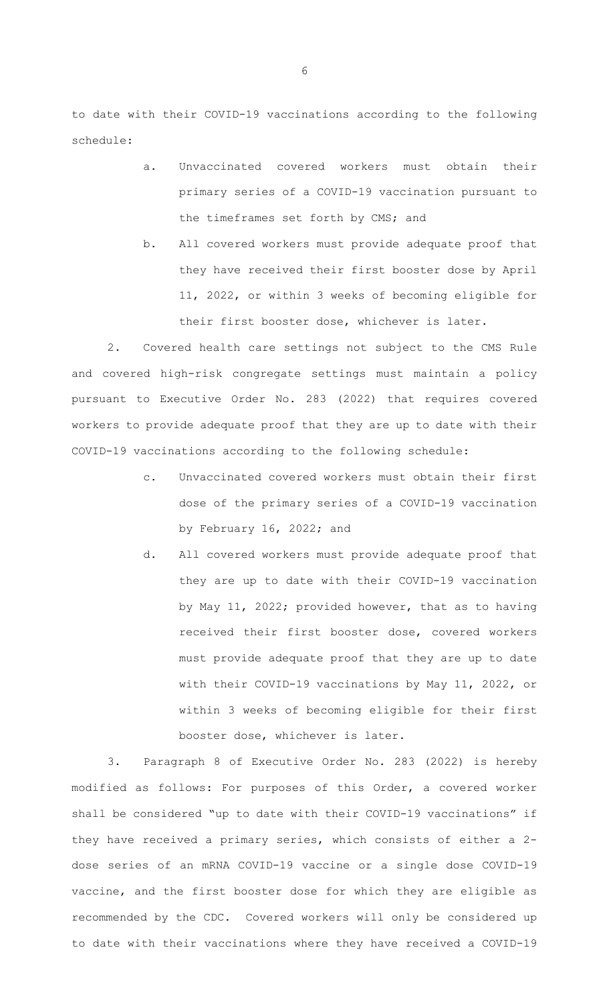to date with their COVID-19 vaccinations according to the following schedule:

- a. Unvaccinated covered workers must obtain their primary series of a COVID-19 vaccination pursuant to the timeframes set forth by CMS; and
- b. All covered workers must provide adequate proof that they have received their first booster dose by April 11, 2022, or within 3 weeks of becoming eligible for their first booster dose, whichever is later.

2. Covered health care settings not subject to the CMS Rule and covered high-risk congregate settings must maintain a policy pursuant to Executive Order No. 283 (2022) that requires covered workers to provide adequate proof that they are up to date with their COVID-19 vaccinations according to the following schedule:

- c. Unvaccinated covered workers must obtain their first dose of the primary series of a COVID-19 vaccination by February 16, 2022; and
- d. All covered workers must provide adequate proof that they are up to date with their COVID-19 vaccination by May 11, 2022; provided however, that as to having received their first booster dose, covered workers must provide adequate proof that they are up to date with their COVID-19 vaccinations by May 11, 2022, or within 3 weeks of becoming eligible for their first booster dose, whichever is later.

3. Paragraph 8 of Executive Order No. 283 (2022) is hereby modified as follows: For purposes of this Order, a covered worker shall be considered "up to date with their COVID-19 vaccinations" if they have received a primary series, which consists of either a 2 dose series of an mRNA COVID-19 vaccine or a single dose COVID-19 vaccine, and the first booster dose for which they are eligible as recommended by the CDC. Covered workers will only be considered up to date with their vaccinations where they have received a COVID-19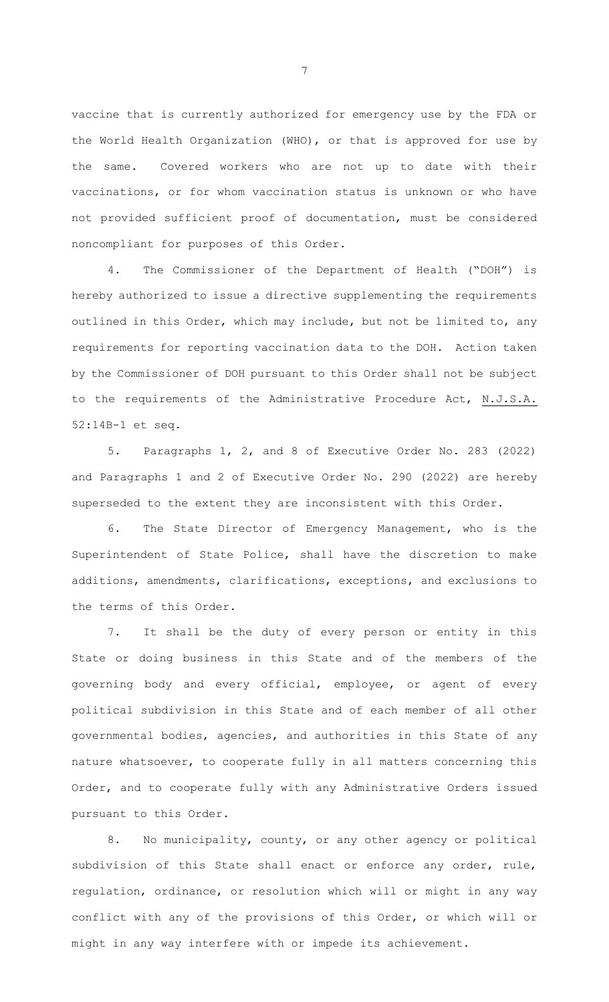vaccine that is currently authorized for emergency use by the FDA or the World Health Organization (WHO), or that is approved for use by the same. Covered workers who are not up to date with their vaccinations, or for whom vaccination status is unknown or who have not provided sufficient proof of documentation, must be considered noncompliant for purposes of this Order.

4. The Commissioner of the Department of Health ("DOH") is hereby authorized to issue a directive supplementing the requirements outlined in this Order, which may include, but not be limited to, any requirements for reporting vaccination data to the DOH. Action taken by the Commissioner of DOH pursuant to this Order shall not be subject to the requirements of the Administrative Procedure Act, N.J.S.A. 52:14B-1 et seq.

5. Paragraphs 1, 2, and 8 of Executive Order No. 283 (2022) and Paragraphs 1 and 2 of Executive Order No. 290 (2022) are hereby superseded to the extent they are inconsistent with this Order.

6. The State Director of Emergency Management, who is the Superintendent of State Police, shall have the discretion to make additions, amendments, clarifications, exceptions, and exclusions to the terms of this Order.

7. It shall be the duty of every person or entity in this State or doing business in this State and of the members of the governing body and every official, employee, or agent of every political subdivision in this State and of each member of all other governmental bodies, agencies, and authorities in this State of any nature whatsoever, to cooperate fully in all matters concerning this Order, and to cooperate fully with any Administrative Orders issued pursuant to this Order.

8. No municipality, county, or any other agency or political subdivision of this State shall enact or enforce any order, rule, regulation, ordinance, or resolution which will or might in any way conflict with any of the provisions of this Order, or which will or might in any way interfere with or impede its achievement.